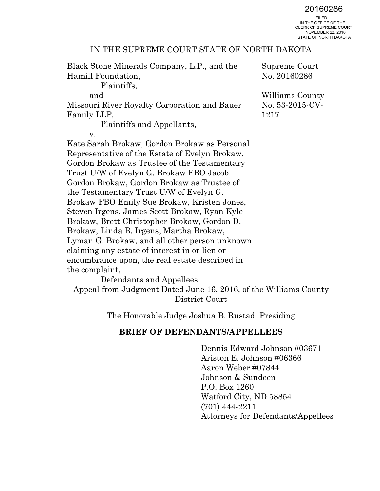20160286<br>FILED<br>IN THE OFFICE OF THE CLERK OF SUPREME COURT NOVEMBER 22, 2016 STATE OF NORTH DAKOTA

| Black Stone Minerals Company, L.P., and the    | Supreme Court   |
|------------------------------------------------|-----------------|
| Hamill Foundation,                             | No. 20160286    |
| Plaintiffs,                                    |                 |
| and                                            | Williams County |
| Missouri River Royalty Corporation and Bauer   | No. 53-2015-CV- |
| Family LLP,                                    | 1217            |
| Plaintiffs and Appellants,                     |                 |
| V.                                             |                 |
| Kate Sarah Brokaw, Gordon Brokaw as Personal   |                 |
| Representative of the Estate of Evelyn Brokaw, |                 |
| Gordon Brokaw as Trustee of the Testamentary   |                 |
| Trust U/W of Evelyn G. Brokaw FBO Jacob        |                 |
| Gordon Brokaw, Gordon Brokaw as Trustee of     |                 |
| the Testamentary Trust U/W of Evelyn G.        |                 |
| Brokaw FBO Emily Sue Brokaw, Kristen Jones,    |                 |
| Steven Irgens, James Scott Brokaw, Ryan Kyle   |                 |
| Brokaw, Brett Christopher Brokaw, Gordon D.    |                 |
| Brokaw, Linda B. Irgens, Martha Brokaw,        |                 |
| Lyman G. Brokaw, and all other person unknown  |                 |
| claiming any estate of interest in or lien or  |                 |
| encumbrance upon, the real estate described in |                 |
| the complaint,                                 |                 |
| Defendants and Appellees.                      |                 |

Appeal from Judgment Dated June 16, 2016, of the Williams County District Court

The Honorable Judge Joshua B. Rustad, Presiding

## **BRIEF OF DEFENDANTS/APPELLEES**

Dennis Edward Johnson #03671 Ariston E. Johnson #06366 Aaron Weber #07844 Johnson & Sundeen P.O. Box 1260 Watford City, ND 58854 (701) 444-2211 Attorneys for Defendants/Appellees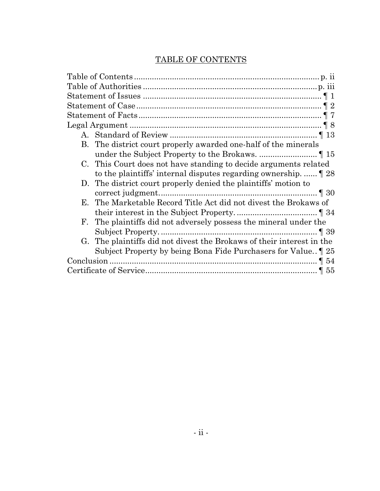# TABLE OF CONTENTS

<span id="page-1-0"></span>

| B. | The district court properly awarded one-half of the minerals                         |
|----|--------------------------------------------------------------------------------------|
|    |                                                                                      |
|    | C. This Court does not have standing to decide arguments related                     |
|    | to the plaintiffs' internal disputes regarding ownership. $\llbracket 28 \rrbracket$ |
|    | D. The district court properly denied the plaintiffs' motion to                      |
|    |                                                                                      |
|    | E. The Marketable Record Title Act did not divest the Brokaws of                     |
|    |                                                                                      |
| F. | The plaintiffs did not adversely possess the mineral under the                       |
|    |                                                                                      |
|    | G. The plaintiffs did not divest the Brokaws of their interest in the                |
|    | Subject Property by being Bona Fide Purchasers for Value. 125                        |
|    |                                                                                      |
|    |                                                                                      |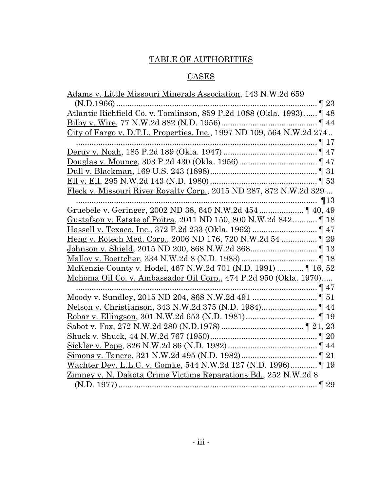# TABLE OF AUTHORITIES

# **CASES**

<span id="page-2-0"></span>

| Adams v. Little Missouri Minerals Association, 143 N.W.2d 659                                                           |
|-------------------------------------------------------------------------------------------------------------------------|
|                                                                                                                         |
| ${\bf (N.D.1966)} \dots 123 \label{eq:1}$<br>Atlantic Richfield Co. v. Tomlinson, 859 P.2d 1088 (Okla. 1993)<br>$\P$ 48 |
|                                                                                                                         |
| <u>City of Fargo v. D.T.L. Properties, Inc.</u> , 1997 ND 109, 564 N.W.2d 274                                           |
|                                                                                                                         |
|                                                                                                                         |
|                                                                                                                         |
|                                                                                                                         |
|                                                                                                                         |
| Fleck v. Missouri River Royalty Corp., 2015 ND 287, 872 N.W.2d 329                                                      |
|                                                                                                                         |
|                                                                                                                         |
|                                                                                                                         |
|                                                                                                                         |
|                                                                                                                         |
|                                                                                                                         |
|                                                                                                                         |
|                                                                                                                         |
| Mohoma Oil Co. v. Ambassador Oil Corp., 474 P.2d 950 (Okla. 1970)                                                       |
|                                                                                                                         |
|                                                                                                                         |
|                                                                                                                         |
|                                                                                                                         |
|                                                                                                                         |
|                                                                                                                         |
|                                                                                                                         |
|                                                                                                                         |
| Wachter Dev. L.L.C. v. Gomke, 544 N.W.2d 127 (N.D. 1996) [19                                                            |
| Zimney v. N. Dakota Crime Victims Reparations Bd., 252 N.W.2d 8                                                         |
|                                                                                                                         |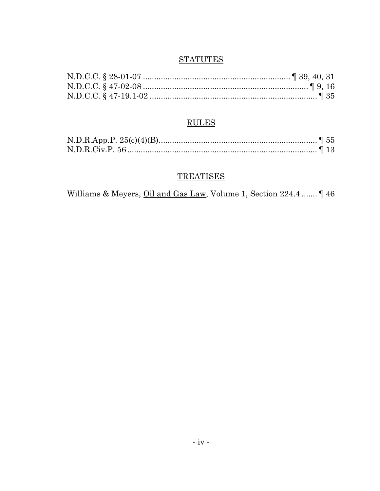# **STATUTES**

# $\frac{\text{RULES}}{}$

## **TREATISES**

Williams & Meyers, *Oil and Gas Law*, Volume 1, Section 224.4 ....... 146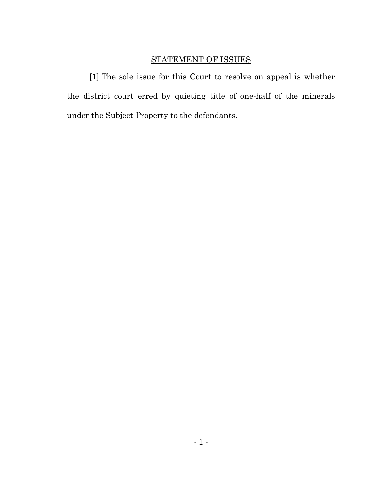## STATEMENT OF ISSUES

<span id="page-4-0"></span>[1] The sole issue for this Court to resolve on appeal is whether the district court erred by quieting title of one-half of the minerals under the Subject Property to the defendants.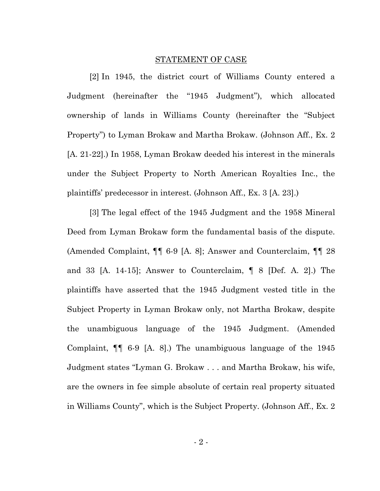#### STATEMENT OF CASE

<span id="page-5-0"></span>[2] In 1945, the district court of Williams County entered a Judgment (hereinafter the "1945 Judgment"), which allocated ownership of lands in Williams County (hereinafter the "Subject Property") to Lyman Brokaw and Martha Brokaw. (Johnson Aff., Ex. 2 [A. 21-22].) In 1958, Lyman Brokaw deeded his interest in the minerals under the Subject Property to North American Royalties Inc., the plaintiffs' predecessor in interest. (Johnson Aff., Ex. 3 [A. 23].)

[3] The legal effect of the 1945 Judgment and the 1958 Mineral Deed from Lyman Brokaw form the fundamental basis of the dispute. (Amended Complaint, ¶¶ 6-9 [A. 8]; Answer and Counterclaim, ¶¶ 28 and 33 [A. 14-15]; Answer to Counterclaim, ¶ 8 [Def. A. 2].) The plaintiffs have asserted that the 1945 Judgment vested title in the Subject Property in Lyman Brokaw only, not Martha Brokaw, despite the unambiguous language of the 1945 Judgment. (Amended Complaint, ¶¶ 6-9 [A. 8].) The unambiguous language of the 1945 Judgment states "Lyman G. Brokaw . . . and Martha Brokaw, his wife, are the owners in fee simple absolute of certain real property situated in Williams County", which is the Subject Property. (Johnson Aff., Ex. 2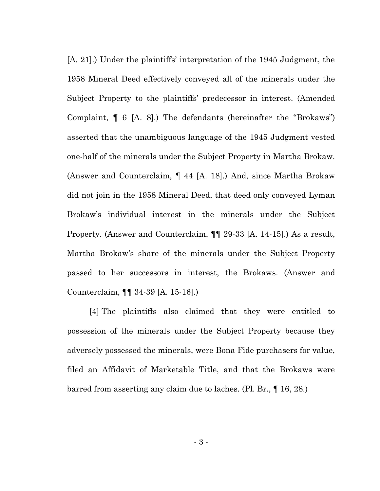[A. 21].) Under the plaintiffs' interpretation of the 1945 Judgment, the 1958 Mineral Deed effectively conveyed all of the minerals under the Subject Property to the plaintiffs' predecessor in interest. (Amended Complaint, ¶ 6 [A. 8].) The defendants (hereinafter the "Brokaws") asserted that the unambiguous language of the 1945 Judgment vested one-half of the minerals under the Subject Property in Martha Brokaw. (Answer and Counterclaim, ¶ 44 [A. 18].) And, since Martha Brokaw did not join in the 1958 Mineral Deed, that deed only conveyed Lyman Brokaw's individual interest in the minerals under the Subject Property. (Answer and Counterclaim, ¶¶ 29-33 [A. 14-15].) As a result, Martha Brokaw's share of the minerals under the Subject Property passed to her successors in interest, the Brokaws. (Answer and Counterclaim, ¶¶ 34-39 [A. 15-16].)

[4] The plaintiffs also claimed that they were entitled to possession of the minerals under the Subject Property because they adversely possessed the minerals, were Bona Fide purchasers for value, filed an Affidavit of Marketable Title, and that the Brokaws were barred from asserting any claim due to laches. (Pl. Br., ¶ 16, 28.)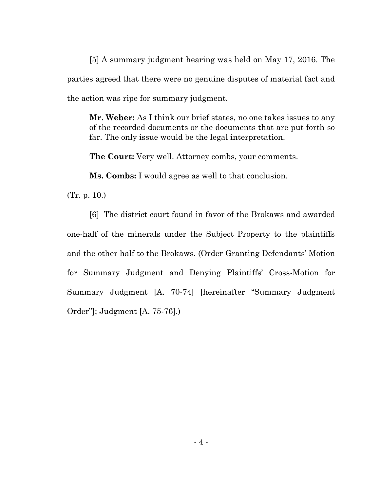[5] A summary judgment hearing was held on May 17, 2016. The parties agreed that there were no genuine disputes of material fact and the action was ripe for summary judgment.

**Mr. Weber:** As I think our brief states, no one takes issues to any of the recorded documents or the documents that are put forth so far. The only issue would be the legal interpretation.

**The Court:** Very well. Attorney combs, your comments.

**Ms. Combs:** I would agree as well to that conclusion.

(Tr. p. 10.)

[6] The district court found in favor of the Brokaws and awarded one-half of the minerals under the Subject Property to the plaintiffs and the other half to the Brokaws. (Order Granting Defendants' Motion for Summary Judgment and Denying Plaintiffs' Cross-Motion for Summary Judgment [A. 70-74] [hereinafter "Summary Judgment Order"]; Judgment [A. 75-76].)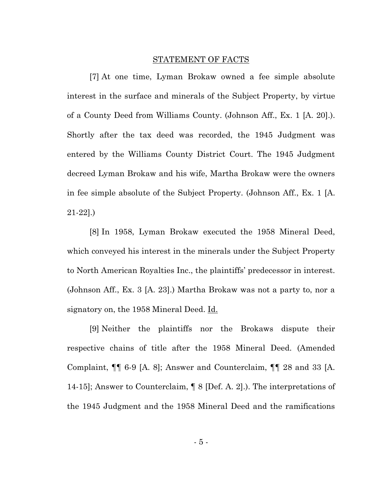#### STATEMENT OF FACTS

<span id="page-8-0"></span>[7] At one time, Lyman Brokaw owned a fee simple absolute interest in the surface and minerals of the Subject Property, by virtue of a County Deed from Williams County. (Johnson Aff., Ex. 1 [A. 20].). Shortly after the tax deed was recorded, the 1945 Judgment was entered by the Williams County District Court. The 1945 Judgment decreed Lyman Brokaw and his wife, Martha Brokaw were the owners in fee simple absolute of the Subject Property. (Johnson Aff., Ex. 1 [A. 21-22].)

[8] In 1958, Lyman Brokaw executed the 1958 Mineral Deed, which conveyed his interest in the minerals under the Subject Property to North American Royalties Inc., the plaintiffs' predecessor in interest. (Johnson Aff., Ex. 3 [A. 23].) Martha Brokaw was not a party to, nor a signatory on, the 1958 Mineral Deed. Id.

[9] Neither the plaintiffs nor the Brokaws dispute their respective chains of title after the 1958 Mineral Deed. (Amended Complaint, ¶¶ 6-9 [A. 8]; Answer and Counterclaim, ¶¶ 28 and 33 [A. 14-15]; Answer to Counterclaim, ¶ 8 [Def. A. 2].). The interpretations of the 1945 Judgment and the 1958 Mineral Deed and the ramifications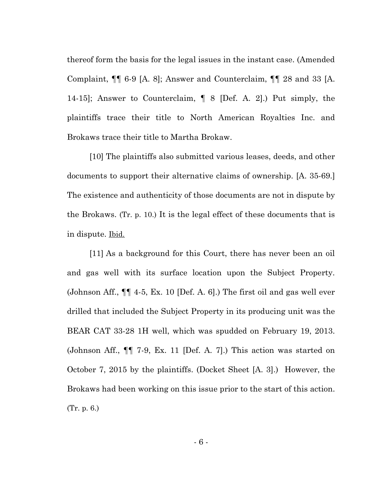thereof form the basis for the legal issues in the instant case. (Amended Complaint, ¶¶ 6-9 [A. 8]; Answer and Counterclaim, ¶¶ 28 and 33 [A. 14-15]; Answer to Counterclaim, ¶ 8 [Def. A. 2].) Put simply, the plaintiffs trace their title to North American Royalties Inc. and Brokaws trace their title to Martha Brokaw.

[10] The plaintiffs also submitted various leases, deeds, and other documents to support their alternative claims of ownership. [A. 35-69.] The existence and authenticity of those documents are not in dispute by the Brokaws. (Tr. p. 10.) It is the legal effect of these documents that is in dispute. Ibid.

[11] As a background for this Court, there has never been an oil and gas well with its surface location upon the Subject Property. (Johnson Aff., ¶¶ 4-5, Ex. 10 [Def. A. 6].) The first oil and gas well ever drilled that included the Subject Property in its producing unit was the BEAR CAT 33-28 1H well, which was spudded on February 19, 2013. (Johnson Aff., ¶¶ 7-9, Ex. 11 [Def. A. 7].) This action was started on October 7, 2015 by the plaintiffs. (Docket Sheet [A. 3].) However, the Brokaws had been working on this issue prior to the start of this action. (Tr. p. 6.)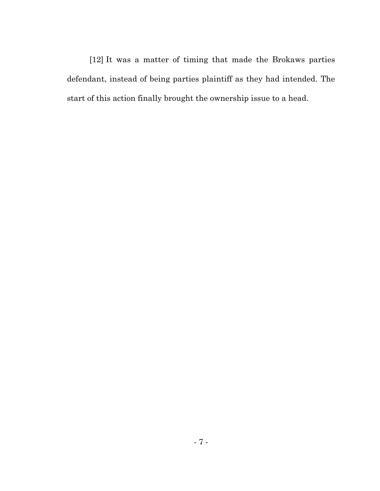[12] It was a matter of timing that made the Brokaws parties defendant, instead of being parties plaintiff as they had intended. The start of this action finally brought the ownership issue to a head.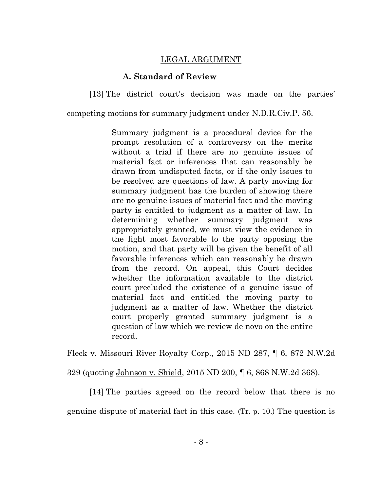#### LEGAL ARGUMENT

#### **A. Standard of Review**

<span id="page-11-1"></span><span id="page-11-0"></span>[13] The district court's decision was made on the parties'

competing motions for summary judgment under N.D.R.Civ.P. 56.

Summary judgment is a procedural device for the prompt resolution of a controversy on the merits without a trial if there are no genuine issues of material fact or inferences that can reasonably be drawn from undisputed facts, or if the only issues to be resolved are questions of law. A party moving for summary judgment has the burden of showing there are no genuine issues of material fact and the moving party is entitled to judgment as a matter of law. In determining whether summary judgment was appropriately granted, we must view the evidence in the light most favorable to the party opposing the motion, and that party will be given the benefit of all favorable inferences which can reasonably be drawn from the record. On appeal, this Court decides whether the information available to the district court precluded the existence of a genuine issue of material fact and entitled the moving party to judgment as a matter of law. Whether the district court properly granted summary judgment is a question of law which we review de novo on the entire record.

Fleck v. Missouri River Royalty Corp., 2015 ND 287, ¶ 6, 872 N.W.2d

329 (quoting Johnson v. Shield, 2015 ND 200, ¶ 6, 868 N.W.2d 368).

[14] The parties agreed on the record below that there is no

genuine dispute of material fact in this case. (Tr. p. 10.) The question is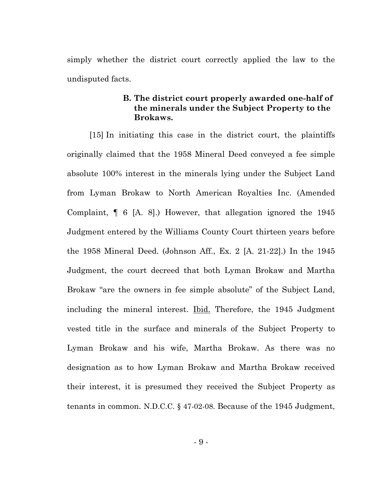<span id="page-12-0"></span>simply whether the district court correctly applied the law to the undisputed facts.

#### **B. The district court properly awarded one-half of the minerals under the Subject Property to the Brokaws.**

[15] In initiating this case in the district court, the plaintiffs originally claimed that the 1958 Mineral Deed conveyed a fee simple absolute 100% interest in the minerals lying under the Subject Land from Lyman Brokaw to North American Royalties Inc. (Amended Complaint, ¶ 6 [A. 8].) However, that allegation ignored the 1945 Judgment entered by the Williams County Court thirteen years before the 1958 Mineral Deed. (Johnson Aff., Ex. 2 [A. 21-22].) In the 1945 Judgment, the court decreed that both Lyman Brokaw and Martha Brokaw "are the owners in fee simple absolute" of the Subject Land, including the mineral interest. <u>Ibid.</u> Therefore, the 1945 Judgment vested title in the surface and minerals of the Subject Property to Lyman Brokaw and his wife, Martha Brokaw. As there was no designation as to how Lyman Brokaw and Martha Brokaw received their interest, it is presumed they received the Subject Property as tenants in common. N.D.C.C. § 47-02-08. Because of the 1945 Judgment,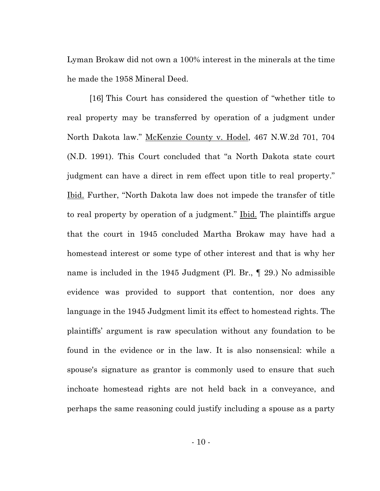Lyman Brokaw did not own a 100% interest in the minerals at the time he made the 1958 Mineral Deed.

[16] This Court has considered the question of "whether title to real property may be transferred by operation of a judgment under North Dakota law." McKenzie County v. Hodel, 467 N.W.2d 701, 704 (N.D. 1991). This Court concluded that "a North Dakota state court judgment can have a direct in rem effect upon title to real property." Ibid. Further, "North Dakota law does not impede the transfer of title to real property by operation of a judgment." Ibid. The plaintiffs argue that the court in 1945 concluded Martha Brokaw may have had a homestead interest or some type of other interest and that is why her name is included in the 1945 Judgment (Pl. Br., ¶ 29.) No admissible evidence was provided to support that contention, nor does any language in the 1945 Judgment limit its effect to homestead rights. The plaintiffs' argument is raw speculation without any foundation to be found in the evidence or in the law. It is also nonsensical: while a spouse's signature as grantor is commonly used to ensure that such inchoate homestead rights are not held back in a conveyance, and perhaps the same reasoning could justify including a spouse as a party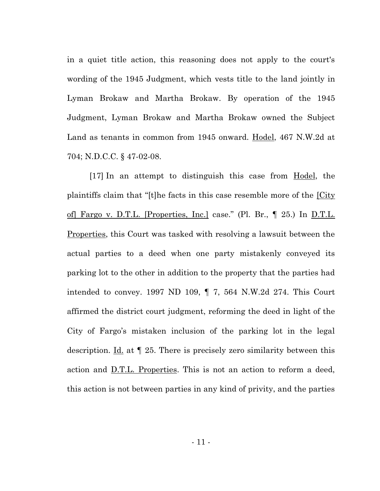in a quiet title action, this reasoning does not apply to the court's wording of the 1945 Judgment, which vests title to the land jointly in Lyman Brokaw and Martha Brokaw. By operation of the 1945 Judgment, Lyman Brokaw and Martha Brokaw owned the Subject Land as tenants in common from 1945 onward. Hodel, 467 N.W.2d at 704; N.D.C.C. § 47-02-08.

[17] In an attempt to distinguish this case from Hodel, the plaintiffs claim that "[t]he facts in this case resemble more of the  $City$ of] Fargo v. D.T.L. [Properties, Inc.] case." (Pl. Br., ¶ 25.) In D.T.L. Properties, this Court was tasked with resolving a lawsuit between the actual parties to a deed when one party mistakenly conveyed its parking lot to the other in addition to the property that the parties had intended to convey. 1997 ND 109, ¶ 7, 564 N.W.2d 274. This Court affirmed the district court judgment, reforming the deed in light of the City of Fargo's mistaken inclusion of the parking lot in the legal description. <u>Id.</u> at  $\parallel$  25. There is precisely zero similarity between this action and <u>D.T.L. Properties</u>. This is not an action to reform a deed, this action is not between parties in any kind of privity, and the parties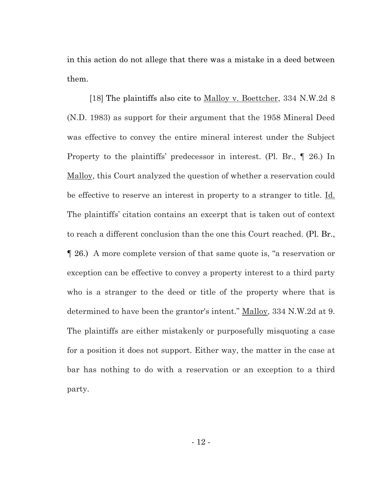in this action do not allege that there was a mistake in a deed between them.

[18] The plaintiffs also cite to Malloy v. Boettcher, 334 N.W.2d 8 (N.D. 1983) as support for their argument that the 1958 Mineral Deed was effective to convey the entire mineral interest under the Subject Property to the plaintiffs' predecessor in interest. (Pl. Br., ¶ 26.) In Malloy, this Court analyzed the question of whether a reservation could be effective to reserve an interest in property to a stranger to title. Id. The plaintiffs' citation contains an excerpt that is taken out of context to reach a different conclusion than the one this Court reached. (Pl. Br., ¶ 26.) A more complete version of that same quote is, "a reservation or exception can be effective to convey a property interest to a third party who is a stranger to the deed or title of the property where that is determined to have been the grantor's intent." Malloy, 334 N.W.2d at 9. The plaintiffs are either mistakenly or purposefully misquoting a case for a position it does not support. Either way, the matter in the case at bar has nothing to do with a reservation or an exception to a third party.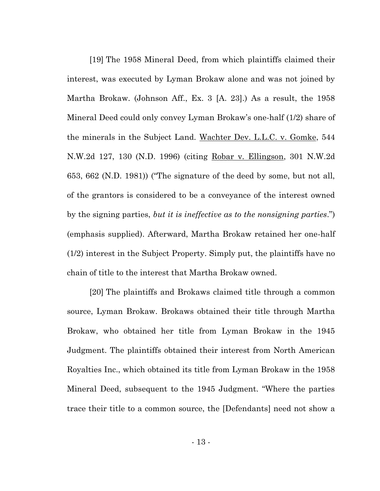[19] The 1958 Mineral Deed, from which plaintiffs claimed their interest, was executed by Lyman Brokaw alone and was not joined by Martha Brokaw. (Johnson Aff., Ex. 3 [A. 23].) As a result, the 1958 Mineral Deed could only convey Lyman Brokaw's one-half (1/2) share of the minerals in the Subject Land. Wachter Dev. L.L.C. v. Gomke, 544 N.W.2d 127, 130 (N.D. 1996) (citing Robar v. Ellingson, 301 N.W.2d 653, 662 (N.D. 1981)) ("The signature of the deed by some, but not all, of the grantors is considered to be a conveyance of the interest owned by the signing parties, *but it is ineffective as to the nonsigning parties*.") (emphasis supplied). Afterward, Martha Brokaw retained her one-half (1/2) interest in the Subject Property. Simply put, the plaintiffs have no chain of title to the interest that Martha Brokaw owned.

[20] The plaintiffs and Brokaws claimed title through a common source, Lyman Brokaw. Brokaws obtained their title through Martha Brokaw, who obtained her title from Lyman Brokaw in the 1945 Judgment. The plaintiffs obtained their interest from North American Royalties Inc., which obtained its title from Lyman Brokaw in the 1958 Mineral Deed, subsequent to the 1945 Judgment. "Where the parties trace their title to a common source, the [Defendants] need not show a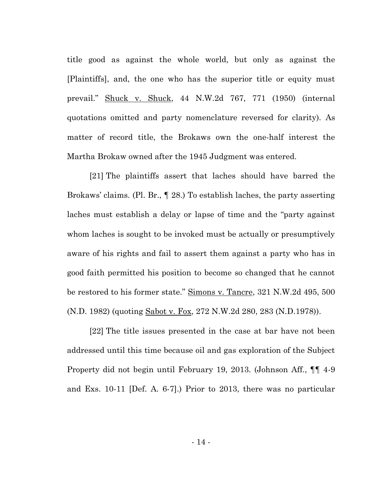title good as against the whole world, but only as against the [Plaintiffs], and, the one who has the superior title or equity must prevail." Shuck v. Shuck, 44 N.W.2d 767, 771 (1950) (internal quotations omitted and party nomenclature reversed for clarity). As matter of record title, the Brokaws own the one-half interest the Martha Brokaw owned after the 1945 Judgment was entered.

[21] The plaintiffs assert that laches should have barred the Brokaws' claims. (Pl. Br., ¶ 28.) To establish laches, the party asserting laches must establish a delay or lapse of time and the "party against whom laches is sought to be invoked must be actually or presumptively aware of his rights and fail to assert them against a party who has in good faith permitted his position to become so changed that he cannot be restored to his former state." Simons v. Tancre, 321 N.W.2d 495, 500 (N.D. 1982) (quoting Sabot v. Fox, 272 N.W.2d 280, 283 (N.D.1978)).

[22] The title issues presented in the case at bar have not been addressed until this time because oil and gas exploration of the Subject Property did not begin until February 19, 2013. (Johnson Aff., ¶¶ 4-9 and Exs. 10-11 [Def. A. 6-7].) Prior to 2013, there was no particular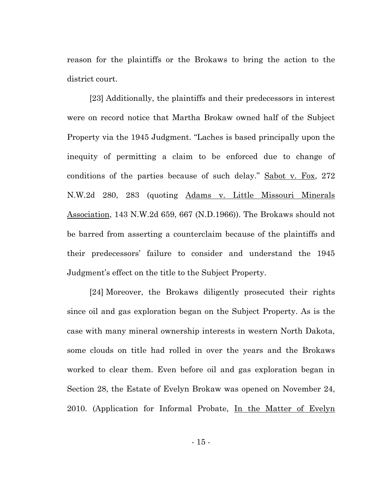reason for the plaintiffs or the Brokaws to bring the action to the district court.

[23] Additionally, the plaintiffs and their predecessors in interest were on record notice that Martha Brokaw owned half of the Subject Property via the 1945 Judgment. "Laches is based principally upon the inequity of permitting a claim to be enforced due to change of conditions of the parties because of such delay." Sabot v. Fox, 272 N.W.2d 280, 283 (quoting Adams v. Little Missouri Minerals Association, 143 N.W.2d 659, 667 (N.D.1966)). The Brokaws should not be barred from asserting a counterclaim because of the plaintiffs and their predecessors' failure to consider and understand the 1945 Judgment's effect on the title to the Subject Property.

[24] Moreover, the Brokaws diligently prosecuted their rights since oil and gas exploration began on the Subject Property. As is the case with many mineral ownership interests in western North Dakota, some clouds on title had rolled in over the years and the Brokaws worked to clear them. Even before oil and gas exploration began in Section 28, the Estate of Evelyn Brokaw was opened on November 24, 2010. (Application for Informal Probate, In the Matter of Evelyn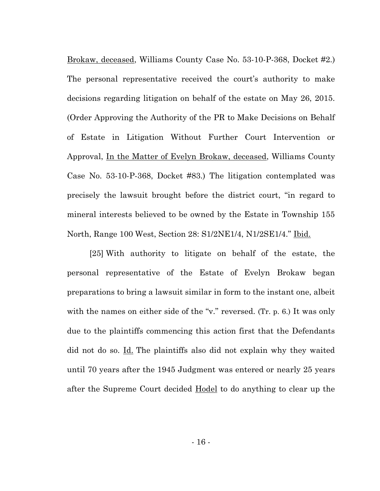Brokaw, deceased, Williams County Case No. 53-10-P-368, Docket #2.) The personal representative received the court's authority to make decisions regarding litigation on behalf of the estate on May 26, 2015. (Order Approving the Authority of the PR to Make Decisions on Behalf of Estate in Litigation Without Further Court Intervention or Approval, In the Matter of Evelyn Brokaw, deceased, Williams County Case No. 53-10-P-368, Docket #83.) The litigation contemplated was precisely the lawsuit brought before the district court, "in regard to mineral interests believed to be owned by the Estate in Township 155 North, Range 100 West, Section 28: S1/2NE1/4, N1/2SE1/4." Ibid.

[25] With authority to litigate on behalf of the estate, the personal representative of the Estate of Evelyn Brokaw began preparations to bring a lawsuit similar in form to the instant one, albeit with the names on either side of the "v." reversed. (Tr. p. 6.) It was only due to the plaintiffs commencing this action first that the Defendants did not do so. Id. The plaintiffs also did not explain why they waited until 70 years after the 1945 Judgment was entered or nearly 25 years after the Supreme Court decided Hodel to do anything to clear up the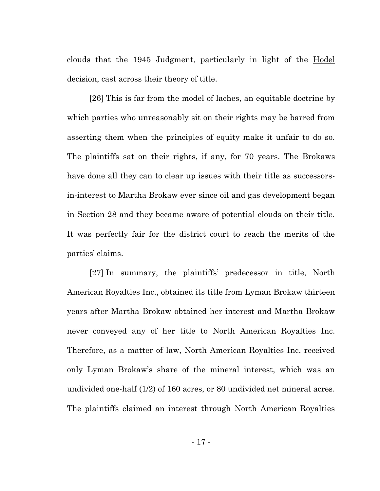clouds that the 1945 Judgment, particularly in light of the Hodel decision, cast across their theory of title.

[26] This is far from the model of laches, an equitable doctrine by which parties who unreasonably sit on their rights may be barred from asserting them when the principles of equity make it unfair to do so. The plaintiffs sat on their rights, if any, for 70 years. The Brokaws have done all they can to clear up issues with their title as successorsin-interest to Martha Brokaw ever since oil and gas development began in Section 28 and they became aware of potential clouds on their title. It was perfectly fair for the district court to reach the merits of the parties' claims.

[27] In summary, the plaintiffs' predecessor in title, North American Royalties Inc., obtained its title from Lyman Brokaw thirteen years after Martha Brokaw obtained her interest and Martha Brokaw never conveyed any of her title to North American Royalties Inc. Therefore, as a matter of law, North American Royalties Inc. received only Lyman Brokaw's share of the mineral interest, which was an undivided one-half (1/2) of 160 acres, or 80 undivided net mineral acres. The plaintiffs claimed an interest through North American Royalties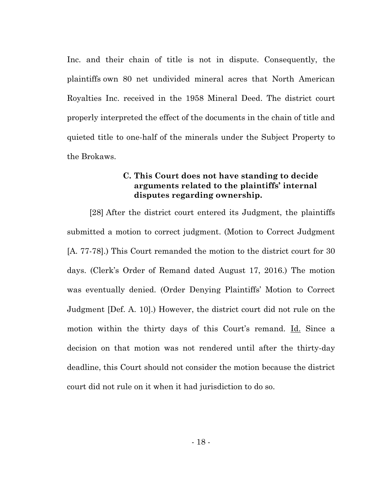Inc. and their chain of title is not in dispute. Consequently, the plaintiffs own 80 net undivided mineral acres that North American Royalties Inc. received in the 1958 Mineral Deed. The district court properly interpreted the effect of the documents in the chain of title and quieted title to one-half of the minerals under the Subject Property to the Brokaws.

## **C. This Court does not have standing to decide arguments related to the plaintiffs' internal disputes regarding ownership.**

<span id="page-21-0"></span>[28] After the district court entered its Judgment, the plaintiffs submitted a motion to correct judgment. (Motion to Correct Judgment [A. 77-78].) This Court remanded the motion to the district court for 30 days. (Clerk's Order of Remand dated August 17, 2016.) The motion was eventually denied. (Order Denying Plaintiffs' Motion to Correct Judgment [Def. A. 10].) However, the district court did not rule on the motion within the thirty days of this Court's remand. Id. Since a decision on that motion was not rendered until after the thirty-day deadline, this Court should not consider the motion because the district court did not rule on it when it had jurisdiction to do so.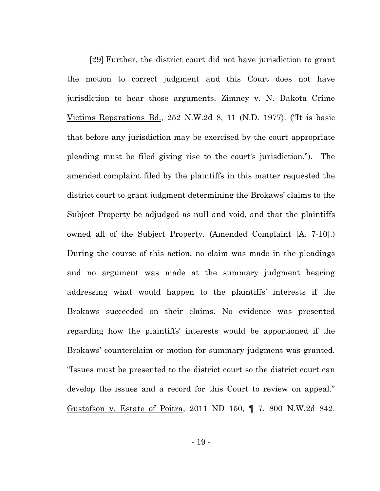[29] Further, the district court did not have jurisdiction to grant the motion to correct judgment and this Court does not have jurisdiction to hear those arguments. <u>Zimney v. N. Dakota Crime</u> Victims Reparations Bd., 252 N.W.2d 8, 11 (N.D. 1977). ("It is basic that before any jurisdiction may be exercised by the court appropriate pleading must be filed giving rise to the court's jurisdiction."). The amended complaint filed by the plaintiffs in this matter requested the district court to grant judgment determining the Brokaws' claims to the Subject Property be adjudged as null and void, and that the plaintiffs owned all of the Subject Property. (Amended Complaint [A. 7-10].) During the course of this action, no claim was made in the pleadings and no argument was made at the summary judgment hearing addressing what would happen to the plaintiffs' interests if the Brokaws succeeded on their claims. No evidence was presented regarding how the plaintiffs' interests would be apportioned if the Brokaws' counterclaim or motion for summary judgment was granted. "Issues must be presented to the district court so the district court can develop the issues and a record for this Court to review on appeal." Gustafson v. Estate of Poitra, 2011 ND 150, ¶ 7, 800 N.W.2d 842.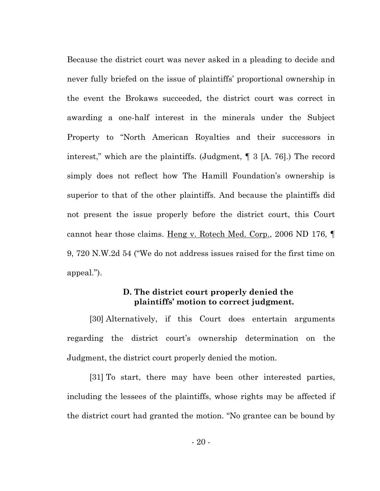Because the district court was never asked in a pleading to decide and never fully briefed on the issue of plaintiffs' proportional ownership in the event the Brokaws succeeded, the district court was correct in awarding a one-half interest in the minerals under the Subject Property to "North American Royalties and their successors in interest," which are the plaintiffs. (Judgment, ¶ 3 [A. 76].) The record simply does not reflect how The Hamill Foundation's ownership is superior to that of the other plaintiffs. And because the plaintiffs did not present the issue properly before the district court, this Court cannot hear those claims. Heng v. Rotech Med. Corp., 2006 ND 176, ¶ 9, 720 N.W.2d 54 ("We do not address issues raised for the first time on appeal.").

#### **D. The district court properly denied the plaintiffs' motion to correct judgment.**

<span id="page-23-0"></span>[30] Alternatively, if this Court does entertain arguments regarding the district court's ownership determination on the Judgment, the district court properly denied the motion.

[31] To start, there may have been other interested parties, including the lessees of the plaintiffs, whose rights may be affected if the district court had granted the motion. "No grantee can be bound by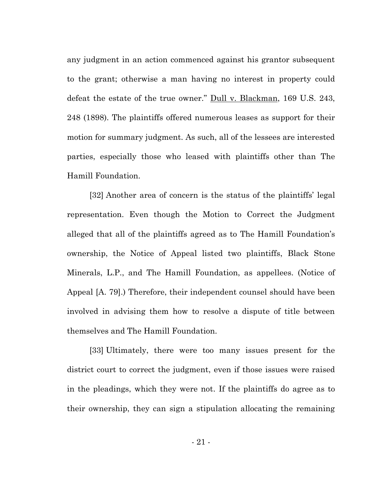any judgment in an action commenced against his grantor subsequent to the grant; otherwise a man having no interest in property could defeat the estate of the true owner." Dull v. Blackman, 169 U.S. 243, 248 (1898). The plaintiffs offered numerous leases as support for their motion for summary judgment. As such, all of the lessees are interested parties, especially those who leased with plaintiffs other than The Hamill Foundation.

[32] Another area of concern is the status of the plaintiffs' legal representation. Even though the Motion to Correct the Judgment alleged that all of the plaintiffs agreed as to The Hamill Foundation's ownership, the Notice of Appeal listed two plaintiffs, Black Stone Minerals, L.P., and The Hamill Foundation, as appellees. (Notice of Appeal [A. 79].) Therefore, their independent counsel should have been involved in advising them how to resolve a dispute of title between themselves and The Hamill Foundation.

[33] Ultimately, there were too many issues present for the district court to correct the judgment, even if those issues were raised in the pleadings, which they were not. If the plaintiffs do agree as to their ownership, they can sign a stipulation allocating the remaining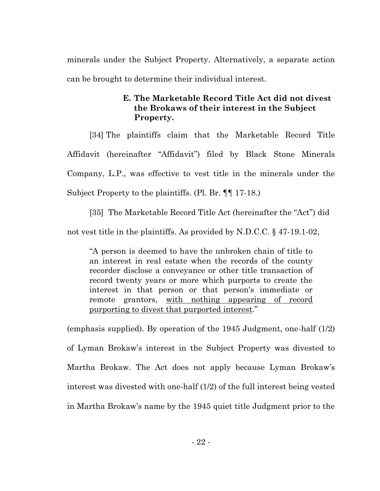minerals under the Subject Property. Alternatively, a separate action can be brought to determine their individual interest.

## **E. The Marketable Record Title Act did not divest the Brokaws of their interest in the Subject Property.**

<span id="page-25-0"></span>[34] The plaintiffs claim that the Marketable Record Title Affidavit (hereinafter "Affidavit") filed by Black Stone Minerals Company, L.P., was effective to vest title in the minerals under the Subject Property to the plaintiffs. (Pl. Br. ¶¶ 17-18.)

[35] The Marketable Record Title Act (hereinafter the "Act") did not vest title in the plaintiffs. As provided by N.D.C.C. § 47-19.1-02,

"A person is deemed to have the unbroken chain of title to an interest in real estate when the records of the county recorder disclose a conveyance or other title transaction of record twenty years or more which purports to create the interest in that person or that person's immediate or remote grantors, with nothing appearing of record purporting to divest that purported interest*.*"

(emphasis supplied). By operation of the 1945 Judgment, one-half (1/2) of Lyman Brokaw's interest in the Subject Property was divested to Martha Brokaw. The Act does not apply because Lyman Brokaw's interest was divested with one-half (1/2) of the full interest being vested in Martha Brokaw's name by the 1945 quiet title Judgment prior to the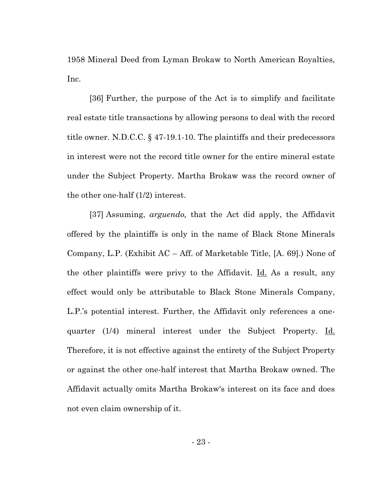1958 Mineral Deed from Lyman Brokaw to North American Royalties, Inc.

[36] Further, the purpose of the Act is to simplify and facilitate real estate title transactions by allowing persons to deal with the record title owner. N.D.C.C. § 47-19.1-10. The plaintiffs and their predecessors in interest were not the record title owner for the entire mineral estate under the Subject Property. Martha Brokaw was the record owner of the other one-half (1/2) interest.

[37] Assuming, *arguendo,* that the Act did apply, the Affidavit offered by the plaintiffs is only in the name of Black Stone Minerals Company, L.P. (Exhibit AC – Aff. of Marketable Title, [A. 69].) None of the other plaintiffs were privy to the Affidavit. Id. As a result, any effect would only be attributable to Black Stone Minerals Company, L.P.'s potential interest. Further, the Affidavit only references a onequarter (1/4) mineral interest under the Subject Property. Id. Therefore, it is not effective against the entirety of the Subject Property or against the other one-half interest that Martha Brokaw owned. The Affidavit actually omits Martha Brokaw's interest on its face and does not even claim ownership of it.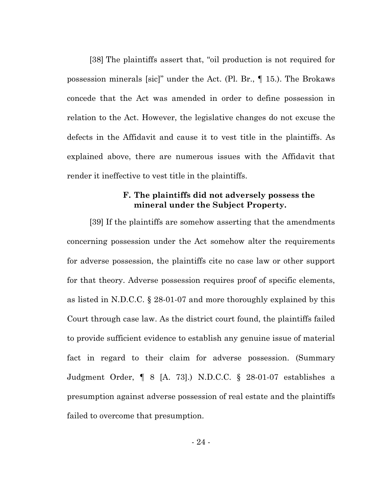[38] The plaintiffs assert that, "oil production is not required for possession minerals [sic]" under the Act. (Pl. Br., ¶ 15.). The Brokaws concede that the Act was amended in order to define possession in relation to the Act. However, the legislative changes do not excuse the defects in the Affidavit and cause it to vest title in the plaintiffs. As explained above, there are numerous issues with the Affidavit that render it ineffective to vest title in the plaintiffs.

#### **F. The plaintiffs did not adversely possess the mineral under the Subject Property.**

<span id="page-27-0"></span>[39] If the plaintiffs are somehow asserting that the amendments concerning possession under the Act somehow alter the requirements for adverse possession, the plaintiffs cite no case law or other support for that theory. Adverse possession requires proof of specific elements, as listed in N.D.C.C. § 28-01-07 and more thoroughly explained by this Court through case law. As the district court found, the plaintiffs failed to provide sufficient evidence to establish any genuine issue of material fact in regard to their claim for adverse possession. (Summary Judgment Order, ¶ 8 [A. 73].) N.D.C.C. § 28-01-07 establishes a presumption against adverse possession of real estate and the plaintiffs failed to overcome that presumption.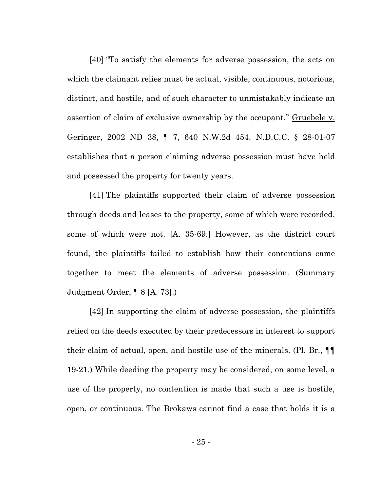[40] "To satisfy the elements for adverse possession, the acts on which the claimant relies must be actual, visible, continuous, notorious, distinct, and hostile, and of such character to unmistakably indicate an assertion of claim of exclusive ownership by the occupant." Gruebele v. Geringer, 2002 ND 38, ¶ 7, 640 N.W.2d 454. N.D.C.C. § 28-01-07 establishes that a person claiming adverse possession must have held and possessed the property for twenty years.

[41] The plaintiffs supported their claim of adverse possession through deeds and leases to the property, some of which were recorded, some of which were not. [A. 35-69.] However, as the district court found, the plaintiffs failed to establish how their contentions came together to meet the elements of adverse possession. (Summary Judgment Order, ¶ 8 [A. 73].)

[42] In supporting the claim of adverse possession, the plaintiffs relied on the deeds executed by their predecessors in interest to support their claim of actual, open, and hostile use of the minerals. (Pl. Br., ¶¶ 19-21.) While deeding the property may be considered, on some level, a use of the property, no contention is made that such a use is hostile, open, or continuous. The Brokaws cannot find a case that holds it is a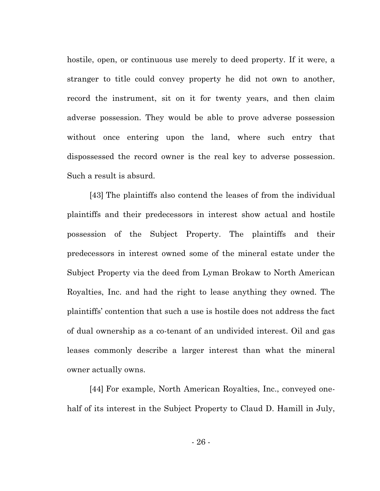hostile, open, or continuous use merely to deed property. If it were, a stranger to title could convey property he did not own to another, record the instrument, sit on it for twenty years, and then claim adverse possession. They would be able to prove adverse possession without once entering upon the land, where such entry that dispossessed the record owner is the real key to adverse possession. Such a result is absurd.

[43] The plaintiffs also contend the leases of from the individual plaintiffs and their predecessors in interest show actual and hostile possession of the Subject Property. The plaintiffs and their predecessors in interest owned some of the mineral estate under the Subject Property via the deed from Lyman Brokaw to North American Royalties, Inc. and had the right to lease anything they owned. The plaintiffs' contention that such a use is hostile does not address the fact of dual ownership as a co-tenant of an undivided interest. Oil and gas leases commonly describe a larger interest than what the mineral owner actually owns.

[44] For example, North American Royalties, Inc., conveyed onehalf of its interest in the Subject Property to Claud D. Hamill in July,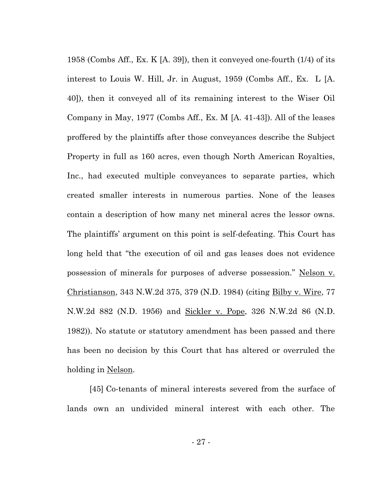1958 (Combs Aff., Ex. K [A. 39]), then it conveyed one-fourth (1/4) of its interest to Louis W. Hill, Jr. in August, 1959 (Combs Aff., Ex. L [A. 40]), then it conveyed all of its remaining interest to the Wiser Oil Company in May, 1977 (Combs Aff., Ex. M [A. 41-43]). All of the leases proffered by the plaintiffs after those conveyances describe the Subject Property in full as 160 acres, even though North American Royalties, Inc., had executed multiple conveyances to separate parties, which created smaller interests in numerous parties. None of the leases contain a description of how many net mineral acres the lessor owns. The plaintiffs' argument on this point is self-defeating. This Court has long held that "the execution of oil and gas leases does not evidence possession of minerals for purposes of adverse possession." Nelson v. Christianson, 343 N.W.2d 375, 379 (N.D. 1984) (citing Bilby v. Wire, 77 N.W.2d 882 (N.D. 1956) and Sickler v. Pope, 326 N.W.2d 86 (N.D. 1982)). No statute or statutory amendment has been passed and there has been no decision by this Court that has altered or overruled the holding in Nelson.

[45] Co-tenants of mineral interests severed from the surface of lands own an undivided mineral interest with each other. The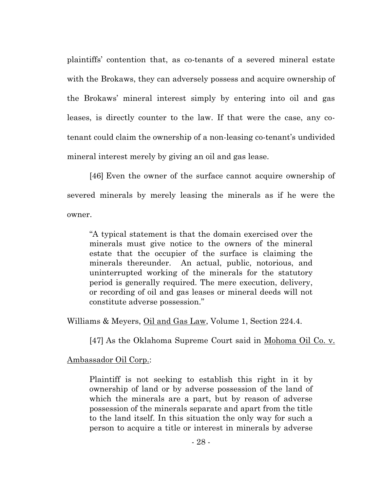plaintiffs' contention that, as co-tenants of a severed mineral estate with the Brokaws, they can adversely possess and acquire ownership of the Brokaws' mineral interest simply by entering into oil and gas leases, is directly counter to the law. If that were the case, any cotenant could claim the ownership of a non-leasing co-tenant's undivided mineral interest merely by giving an oil and gas lease.

[46] Even the owner of the surface cannot acquire ownership of severed minerals by merely leasing the minerals as if he were the owner.

"A typical statement is that the domain exercised over the minerals must give notice to the owners of the mineral estate that the occupier of the surface is claiming the minerals thereunder. An actual, public, notorious, and uninterrupted working of the minerals for the statutory period is generally required. The mere execution, delivery, or recording of oil and gas leases or mineral deeds will not constitute adverse possession."

Williams & Meyers, Oil and Gas Law, Volume 1, Section 224.4.

[47] As the Oklahoma Supreme Court said in Mohoma Oil Co. v.

## Ambassador Oil Corp.:

Plaintiff is not seeking to establish this right in it by ownership of land or by adverse possession of the land of which the minerals are a part, but by reason of adverse possession of the minerals separate and apart from the title to the land itself. In this situation the only way for such a person to acquire a title or interest in minerals by adverse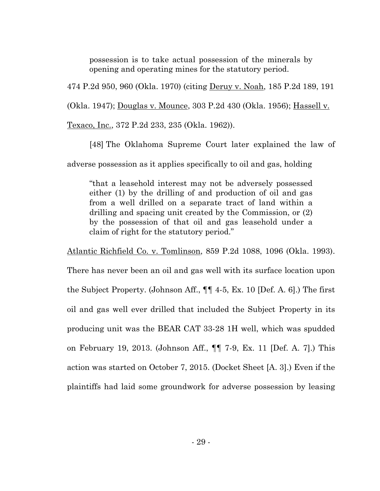possession is to take actual possession of the minerals by opening and operating mines for the statutory period.

474 P.2d 950, 960 (Okla. 1970) (citing Deruy v. Noah, 185 P.2d 189, 191

(Okla. 1947); Douglas v. Mounce, 303 P.2d 430 (Okla. 1956); Hassell v.

Texaco, Inc., 372 P.2d 233, 235 (Okla. 1962)).

[48] The Oklahoma Supreme Court later explained the law of adverse possession as it applies specifically to oil and gas, holding

"that a leasehold interest may not be adversely possessed either (1) by the drilling of and production of oil and gas from a well drilled on a separate tract of land within a drilling and spacing unit created by the Commission, or (2) by the possession of that oil and gas leasehold under a claim of right for the statutory period."

Atlantic Richfield Co. v. Tomlinson, 859 P.2d 1088, 1096 (Okla. 1993).

There has never been an oil and gas well with its surface location upon the Subject Property. (Johnson Aff., ¶¶ 4-5, Ex. 10 [Def. A. 6].) The first oil and gas well ever drilled that included the Subject Property in its producing unit was the BEAR CAT 33-28 1H well, which was spudded on February 19, 2013. (Johnson Aff., ¶¶ 7-9, Ex. 11 [Def. A. 7].) This action was started on October 7, 2015. (Docket Sheet [A. 3].) Even if the plaintiffs had laid some groundwork for adverse possession by leasing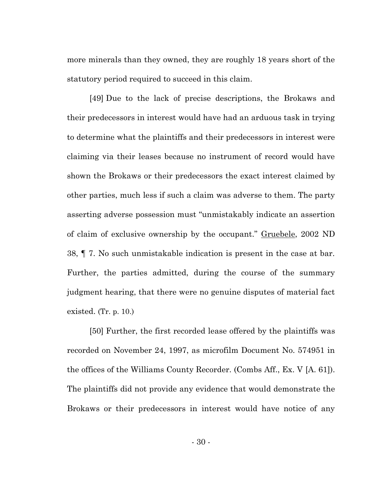more minerals than they owned, they are roughly 18 years short of the statutory period required to succeed in this claim.

[49] Due to the lack of precise descriptions, the Brokaws and their predecessors in interest would have had an arduous task in trying to determine what the plaintiffs and their predecessors in interest were claiming via their leases because no instrument of record would have shown the Brokaws or their predecessors the exact interest claimed by other parties, much less if such a claim was adverse to them. The party asserting adverse possession must "unmistakably indicate an assertion of claim of exclusive ownership by the occupant." Gruebele, 2002 ND 38, ¶ 7. No such unmistakable indication is present in the case at bar. Further, the parties admitted, during the course of the summary judgment hearing, that there were no genuine disputes of material fact existed. (Tr. p. 10.)

[50] Further, the first recorded lease offered by the plaintiffs was recorded on November 24, 1997, as microfilm Document No. 574951 in the offices of the Williams County Recorder. (Combs Aff., Ex. V [A. 61]). The plaintiffs did not provide any evidence that would demonstrate the Brokaws or their predecessors in interest would have notice of any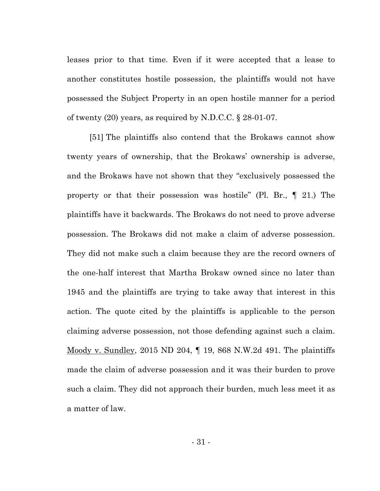leases prior to that time. Even if it were accepted that a lease to another constitutes hostile possession, the plaintiffs would not have possessed the Subject Property in an open hostile manner for a period of twenty (20) years, as required by N.D.C.C. § 28-01-07.

[51] The plaintiffs also contend that the Brokaws cannot show twenty years of ownership, that the Brokaws' ownership is adverse, and the Brokaws have not shown that they "exclusively possessed the property or that their possession was hostile" (Pl. Br., ¶ 21.) The plaintiffs have it backwards. The Brokaws do not need to prove adverse possession. The Brokaws did not make a claim of adverse possession. They did not make such a claim because they are the record owners of the one-half interest that Martha Brokaw owned since no later than 1945 and the plaintiffs are trying to take away that interest in this action. The quote cited by the plaintiffs is applicable to the person claiming adverse possession, not those defending against such a claim. Moody v. Sundley, 2015 ND 204, ¶ 19, 868 N.W.2d 491. The plaintiffs made the claim of adverse possession and it was their burden to prove such a claim. They did not approach their burden, much less meet it as a matter of law.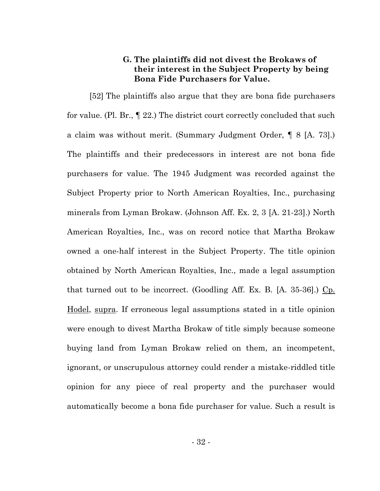#### **G. The plaintiffs did not divest the Brokaws of their interest in the Subject Property by being Bona Fide Purchasers for Value.**

<span id="page-35-0"></span>[52] The plaintiffs also argue that they are bona fide purchasers for value. (Pl. Br., ¶ 22.) The district court correctly concluded that such a claim was without merit. (Summary Judgment Order, ¶ 8 [A. 73].) The plaintiffs and their predecessors in interest are not bona fide purchasers for value. The 1945 Judgment was recorded against the Subject Property prior to North American Royalties, Inc., purchasing minerals from Lyman Brokaw. (Johnson Aff. Ex. 2, 3 [A. 21-23].) North American Royalties, Inc., was on record notice that Martha Brokaw owned a one-half interest in the Subject Property. The title opinion obtained by North American Royalties, Inc., made a legal assumption that turned out to be incorrect. (Goodling Aff. Ex. B. [A. 35-36].) Cp. Hodel, supra. If erroneous legal assumptions stated in a title opinion were enough to divest Martha Brokaw of title simply because someone buying land from Lyman Brokaw relied on them, an incompetent, ignorant, or unscrupulous attorney could render a mistake-riddled title opinion for any piece of real property and the purchaser would automatically become a bona fide purchaser for value. Such a result is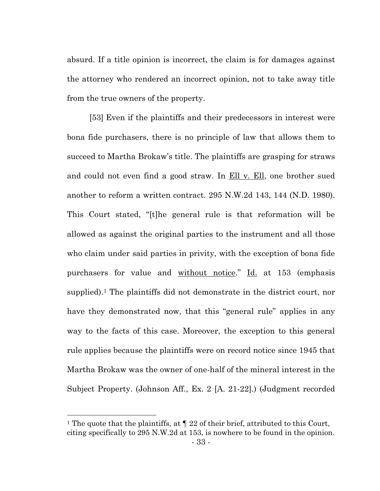absurd. If a title opinion is incorrect, the claim is for damages against the attorney who rendered an incorrect opinion, not to take away title from the true owners of the property.

[53] Even if the plaintiffs and their predecessors in interest were bona fide purchasers, there is no principle of law that allows them to succeed to Martha Brokaw's title. The plaintiffs are grasping for straws and could not even find a good straw. In <u>Ell v. Ell</u>, one brother sued another to reform a written contract. 295 N.W.2d 143, 144 (N.D. 1980). This Court stated, "[t]he general rule is that reformation will be allowed as against the original parties to the instrument and all those who claim under said parties in privity, with the exception of bona fide purchasers for value and without notice." Id. at 153 (emphasis supplied).<sup>1</sup> The plaintiffs did not demonstrate in the district court, nor have they demonstrated now, that this "general rule" applies in any way to the facts of this case. Moreover, the exception to this general rule applies because the plaintiffs were on record notice since 1945 that Martha Brokaw was the owner of one-half of the mineral interest in the Subject Property. (Johnson Aff., Ex. 2 [A. 21-22].) (Judgment recorded

<sup>&</sup>lt;sup>1</sup> The quote that the plaintiffs, at  $\P$  22 of their brief, attributed to this Court, citing specifically to 295 N.W.2d at 153, is nowhere to be found in the opinion.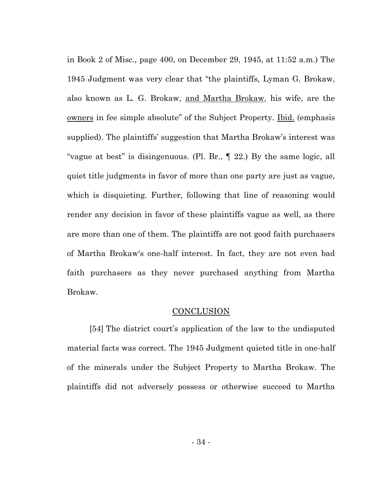in Book 2 of Misc., page 400, on December 29, 1945, at 11:52 a.m.) The 1945 Judgment was very clear that "the plaintiffs, Lyman G. Brokaw, also known as L. G. Brokaw, and Martha Brokaw, his wife, are the owners in fee simple absolute" of the Subject Property. Ibid. (emphasis supplied). The plaintiffs' suggestion that Martha Brokaw's interest was "vague at best" is disingenuous. (Pl. Br., ¶ 22.) By the same logic, all quiet title judgments in favor of more than one party are just as vague, which is disquieting. Further, following that line of reasoning would render any decision in favor of these plaintiffs vague as well, as there are more than one of them. The plaintiffs are not good faith purchasers of Martha Brokaw's one-half interest. In fact, they are not even bad faith purchasers as they never purchased anything from Martha Brokaw.

#### **CONCLUSION**

<span id="page-37-0"></span>[54] The district court's application of the law to the undisputed material facts was correct. The 1945 Judgment quieted title in one-half of the minerals under the Subject Property to Martha Brokaw. The plaintiffs did not adversely possess or otherwise succeed to Martha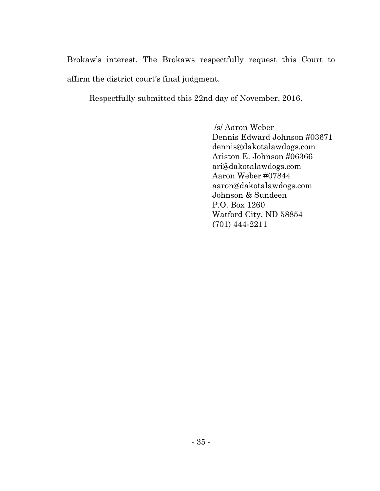Brokaw's interest. The Brokaws respectfully request this Court to affirm the district court's final judgment.

Respectfully submitted this 22nd day of November, 2016.

/s/ Aaron Weber

Dennis Edward Johnson #03671 dennis@dakotalawdogs.com Ariston E. Johnson #06366 ari@dakotalawdogs.com Aaron Weber #07844 aaron@dakotalawdogs.com Johnson & Sundeen P.O. Box 1260 Watford City, ND 58854 (701) 444-2211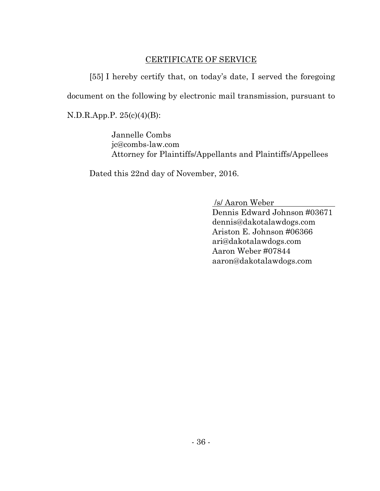## CERTIFICATE OF SERVICE

<span id="page-39-0"></span>[55] I hereby certify that, on today's date, I served the foregoing document on the following by electronic mail transmission, pursuant to N.D.R.App.P. 25(c)(4)(B):

> Jannelle Combs jc@combs-law.com Attorney for Plaintiffs/Appellants and Plaintiffs/Appellees

Dated this 22nd day of November, 2016.

/s/ Aaron Weber

Dennis Edward Johnson #03671 dennis@dakotalawdogs.com Ariston E. Johnson #06366 ari@dakotalawdogs.com Aaron Weber #07844 aaron@dakotalawdogs.com